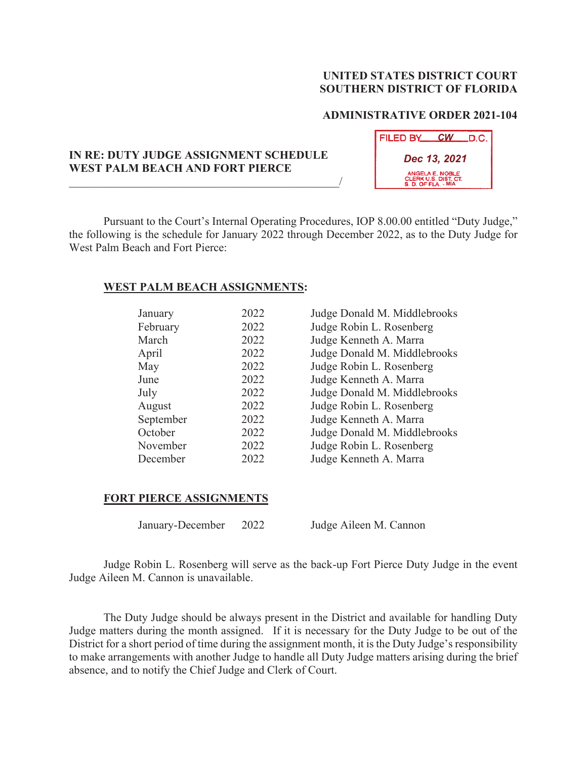## **UNITED STATES DISTRICT COURT SOUTHERN DISTRICT OF FLORIDA**

## **ADMINISTRATIVE ORDER 2021-104**

**FILED BY CW D.C.** 

| IN RE: DUTY JUDGE ASSIGNMENT SCHEDULE<br>WEST PALM BEACH AND FORT PIERCE | Dec 13, 2021<br>ANGELA E. NOBLE<br>CLERK U.S. DIST. CT. |  |
|--------------------------------------------------------------------------|---------------------------------------------------------|--|
|                                                                          | S. D. OF FLA. - MIA                                     |  |

Pursuant to the Court's Internal Operating Procedures, IOP 8.00.00 entitled "Duty Judge," the following is the schedule for January 2022 through December 2022, as to the Duty Judge for West Palm Beach and Fort Pierce:

## **WEST PALM BEACH ASSIGNMENTS:**

| January   | 2022 | Judge Donald M. Middle  |
|-----------|------|-------------------------|
| February  | 2022 | Judge Robin L. Rosenber |
| March     | 2022 | Judge Kenneth A. Marra  |
| April     | 2022 | Judge Donald M. Middle  |
| May       | 2022 | Judge Robin L. Rosenber |
| June      | 2022 | Judge Kenneth A. Marra  |
| July      | 2022 | Judge Donald M. Middle  |
| August    | 2022 | Judge Robin L. Rosenber |
| September | 2022 | Judge Kenneth A. Marra  |
| October   | 2022 | Judge Donald M. Middle  |
| November  | 2022 | Judge Robin L. Rosenber |
| December  | 2022 | Judge Kenneth A. Marra  |

| January   | 2022 | Judge Donald M. Middlebrooks |
|-----------|------|------------------------------|
| February  | 2022 | Judge Robin L. Rosenberg     |
| March     | 2022 | Judge Kenneth A. Marra       |
| April     | 2022 | Judge Donald M. Middlebrooks |
| May       | 2022 | Judge Robin L. Rosenberg     |
| June      | 2022 | Judge Kenneth A. Marra       |
| July      | 2022 | Judge Donald M. Middlebrooks |
| August    | 2022 | Judge Robin L. Rosenberg     |
| September | 2022 | Judge Kenneth A. Marra       |
| October   | 2022 | Judge Donald M. Middlebrooks |
| November  | 2022 | Judge Robin L. Rosenberg     |
| December  | 2022 | Judge Kenneth A. Marra       |

## **FORT PIERCE ASSIGNMENTS**

January-December 2022 Judge Aileen M. Cannon

Judge Robin L. Rosenberg will serve as the back-up Fort Pierce Duty Judge in the event Judge Aileen M. Cannon is unavailable.

The Duty Judge should be always present in the District and available for handling Duty Judge matters during the month assigned. If it is necessary for the Duty Judge to be out of the District for a short period of time during the assignment month, it is the Duty Judge's responsibility to make arrangements with another Judge to handle all Duty Judge matters arising during the brief absence, and to notify the Chief Judge and Clerk of Court.